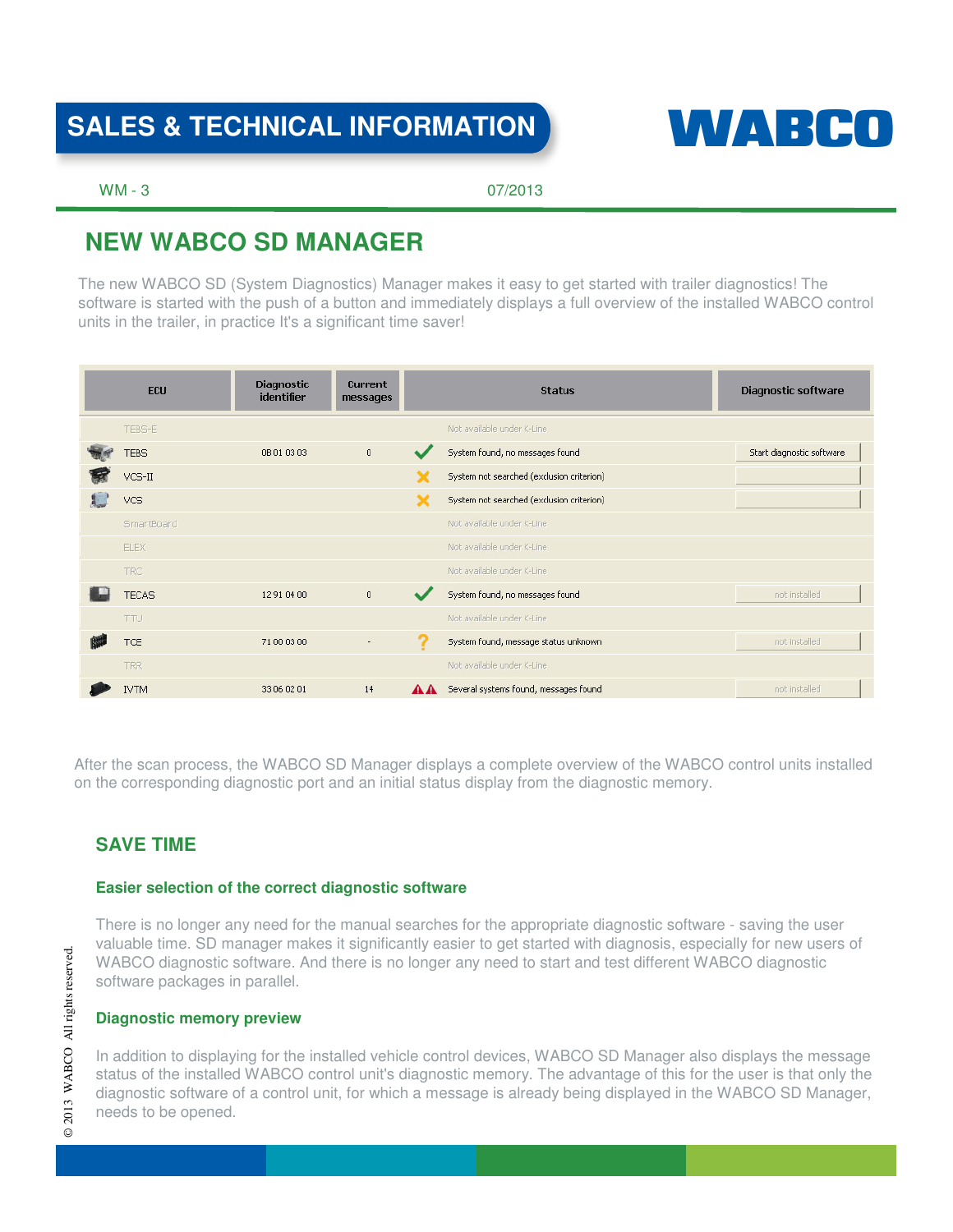# SALES & TECHNICAL INFORMATION **WALKER CO**



WM - 3 07/2013

# **NEW WABCO SD MANAGER**

The new WABCO SD (System Diagnostics) Manager makes it easy to get started with trailer diagnostics! The software is started with the push of a button and immediately displays a full overview of the installed WABCO control units in the trailer, in practice It's a significant time saver!

| ECU          | <b>Diagnostic</b><br>identifier | <b>Current</b><br>messages |    | <b>Status</b>                             | Diagnostic software       |
|--------------|---------------------------------|----------------------------|----|-------------------------------------------|---------------------------|
| TEBS-E       |                                 |                            |    | Not available under K-Line                |                           |
| <b>TEBS</b>  | 0B 01 03 03                     | $\mathbf{0}$               |    | System found, no messages found           | Start diagnostic software |
| $VCS-II$     |                                 |                            |    | System not searched (exclusion criterion) |                           |
| <b>VCS</b>   |                                 |                            |    | System not searched (exclusion criterion) |                           |
| SmartBoard   |                                 |                            |    | Not available under K-Line                |                           |
| ELEX         |                                 |                            |    | Not available under K-Line                |                           |
| <b>TRC</b>   |                                 |                            |    | Not available under K-Line                |                           |
| <b>TECAS</b> | 12 91 04 00                     | $\overline{0}$             |    | System found, no messages found           | not installed             |
| <b>TTU</b>   |                                 |                            |    | Not available under K-Line                |                           |
| TCE          | 71 00 03 00                     | $\overline{\phantom{m}}$   | າ  | System found, message status unknown      | not installed             |
| TRR.         |                                 |                            |    | Not available under K-Line                |                           |
| <b>IVTM</b>  | 33 06 02 01                     | 14                         | AA | Several systems found, messages found     | not installed             |

After the scan process, the WABCO SD Manager displays a complete overview of the WABCO control units installed on the corresponding diagnostic port and an initial status display from the diagnostic memory.

# **SAVE TIME**

#### **Easier selection of the correct diagnostic software**

There is no longer any need for the manual searches for the appropriate diagnostic software - saving the user valuable time. SD manager makes it significantly easier to get started with diagnosis, especially for new users of WABCO diagnostic software. And there is no longer any need to start and test different WABCO diagnostic software packages in parallel.

### **Diagnostic memory preview**

In addition to displaying for the installed vehicle control devices, WABCO SD Manager also displays the message status of the installed WABCO control unit's diagnostic memory. The advantage of this for the user is that only the diagnostic software of a control unit, for which a message is already being displayed in the WABCO SD Manager, needs to be opened.